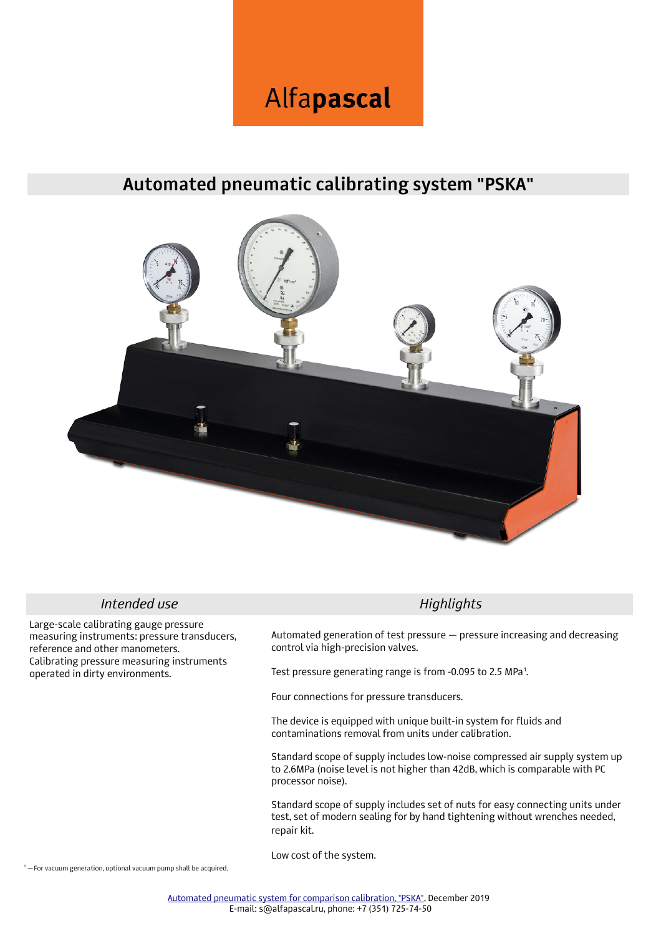# Alfapascal

## **Automated pneumatic calibrating system "PSKA"**



### **Intended use Highlights**

Large-scale calibrating gauge pressure measuring instruments: pressure transducers, reference and other manometers. Calibrating pressure measuring instruments operated in dirty environments.

Automated generation of test pressure — pressure increasing and decreasing control via high-precision valves.

Test pressure generating range is from -0.095 to 2.5 MPa<sup>1</sup>.

Four connections for pressure transducers.

The device is equipped with unique built-in system for fluids and contaminations removal from units under calibration.

Standard scope of supply includes low-noise compressed air supply system up to 2.6MPa (noise level is not higher than 42dB, which is comparable with PC processor noise).

Standard scope of supply includes set of nuts for easy connecting units under test, set of modern sealing for by hand tightening without wrenches needed, repair kit.

Low cost of the system.

1 – For vacuum generation, optional vacuum pump shall be acquired.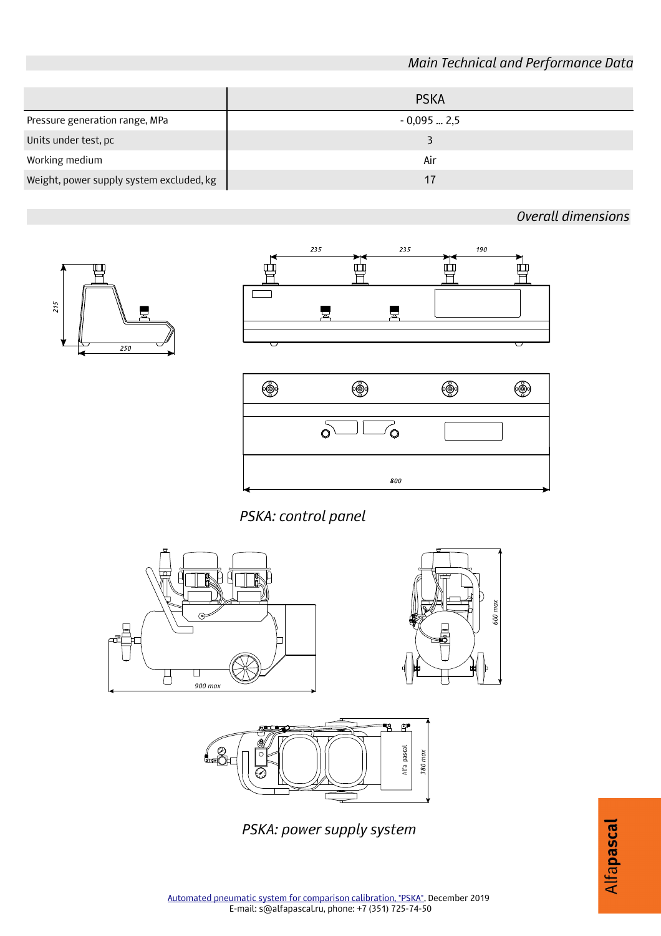### *Main Technical and Performance Data*

*Overall dimensions*

|                                          | <b>PSKA</b> |
|------------------------------------------|-------------|
| Pressure generation range, MPa           | $-0,0952,5$ |
| Units under test, pc                     |             |
| Working medium                           | Air         |
| Weight, power supply system excluded, kg | 17          |

凹  $215$  $250$ 





*600 max*

*PSKA: control panel*





*PSKA: power supply system*

Alfapascal